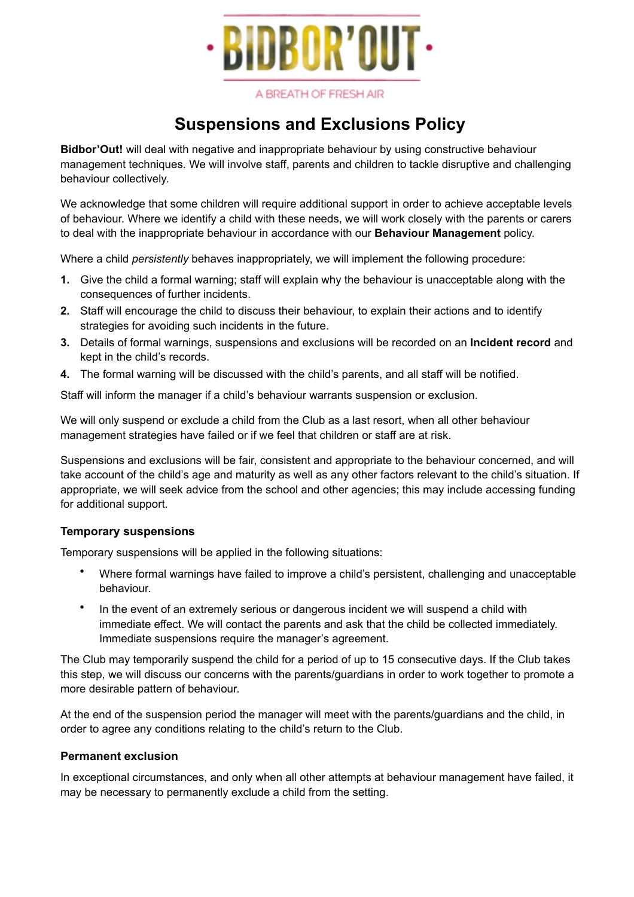

A BREATH OF FRESH AIR

## **Suspensions and Exclusions Policy**

**Bidbor'Out!** will deal with negative and inappropriate behaviour by using constructive behaviour management techniques. We will involve staff, parents and children to tackle disruptive and challenging behaviour collectively.

We acknowledge that some children will require additional support in order to achieve acceptable levels of behaviour. Where we identify a child with these needs, we will work closely with the parents or carers to deal with the inappropriate behaviour in accordance with our **Behaviour Management** policy.

Where a child *persistently* behaves inappropriately, we will implement the following procedure:

- **1.** Give the child a formal warning; staff will explain why the behaviour is unacceptable along with the consequences of further incidents.
- **2.** Staff will encourage the child to discuss their behaviour, to explain their actions and to identify strategies for avoiding such incidents in the future.
- **3.** Details of formal warnings, suspensions and exclusions will be recorded on an **Incident record** and kept in the child's records.
- **4.** The formal warning will be discussed with the child's parents, and all staff will be notified.

Staff will inform the manager if a child's behaviour warrants suspension or exclusion.

We will only suspend or exclude a child from the Club as a last resort, when all other behaviour management strategies have failed or if we feel that children or staff are at risk.

Suspensions and exclusions will be fair, consistent and appropriate to the behaviour concerned, and will take account of the child's age and maturity as well as any other factors relevant to the child's situation. If appropriate, we will seek advice from the school and other agencies; this may include accessing funding for additional support.

## **Temporary suspensions**

Temporary suspensions will be applied in the following situations:

- Where formal warnings have failed to improve a child's persistent, challenging and unacceptable behaviour.
- In the event of an extremely serious or dangerous incident we will suspend a child with immediate effect. We will contact the parents and ask that the child be collected immediately. Immediate suspensions require the manager's agreement.

The Club may temporarily suspend the child for a period of up to 15 consecutive days. If the Club takes this step, we will discuss our concerns with the parents/guardians in order to work together to promote a more desirable pattern of behaviour.

At the end of the suspension period the manager will meet with the parents/guardians and the child, in order to agree any conditions relating to the child's return to the Club.

## **Permanent exclusion**

In exceptional circumstances, and only when all other attempts at behaviour management have failed, it may be necessary to permanently exclude a child from the setting.